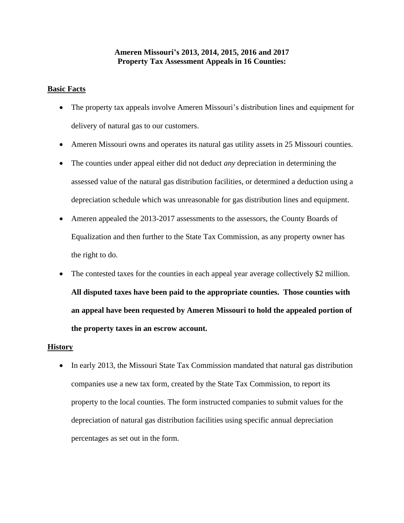## **Ameren Missouri's 2013, 2014, 2015, 2016 and 2017 Property Tax Assessment Appeals in 16 Counties:**

## **Basic Facts**

- The property tax appeals involve Ameren Missouri's distribution lines and equipment for delivery of natural gas to our customers.
- Ameren Missouri owns and operates its natural gas utility assets in 25 Missouri counties.
- The counties under appeal either did not deduct *any* depreciation in determining the assessed value of the natural gas distribution facilities, or determined a deduction using a depreciation schedule which was unreasonable for gas distribution lines and equipment.
- Ameren appealed the 2013-2017 assessments to the assessors, the County Boards of Equalization and then further to the State Tax Commission, as any property owner has the right to do.
- The contested taxes for the counties in each appeal year average collectively \$2 million. **All disputed taxes have been paid to the appropriate counties. Those counties with an appeal have been requested by Ameren Missouri to hold the appealed portion of the property taxes in an escrow account.**

## **History**

• In early 2013, the Missouri State Tax Commission mandated that natural gas distribution companies use a new tax form, created by the State Tax Commission, to report its property to the local counties. The form instructed companies to submit values for the depreciation of natural gas distribution facilities using specific annual depreciation percentages as set out in the form.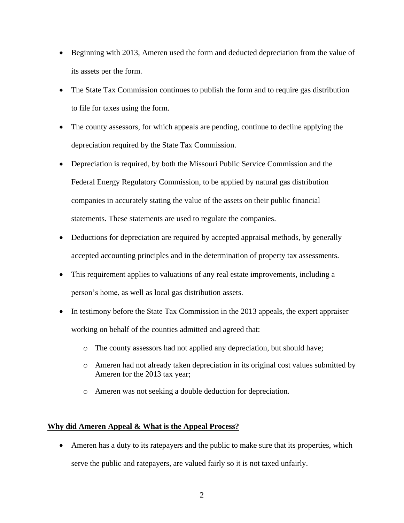- Beginning with 2013, Ameren used the form and deducted depreciation from the value of its assets per the form.
- The State Tax Commission continues to publish the form and to require gas distribution to file for taxes using the form.
- The county assessors, for which appeals are pending, continue to decline applying the depreciation required by the State Tax Commission.
- Depreciation is required, by both the Missouri Public Service Commission and the Federal Energy Regulatory Commission, to be applied by natural gas distribution companies in accurately stating the value of the assets on their public financial statements. These statements are used to regulate the companies.
- Deductions for depreciation are required by accepted appraisal methods, by generally accepted accounting principles and in the determination of property tax assessments.
- This requirement applies to valuations of any real estate improvements, including a person's home, as well as local gas distribution assets.
- In testimony before the State Tax Commission in the 2013 appeals, the expert appraiser working on behalf of the counties admitted and agreed that:
	- o The county assessors had not applied any depreciation, but should have;
	- o Ameren had not already taken depreciation in its original cost values submitted by Ameren for the 2013 tax year;
	- o Ameren was not seeking a double deduction for depreciation.

## **Why did Ameren Appeal & What is the Appeal Process?**

 Ameren has a duty to its ratepayers and the public to make sure that its properties, which serve the public and ratepayers, are valued fairly so it is not taxed unfairly.